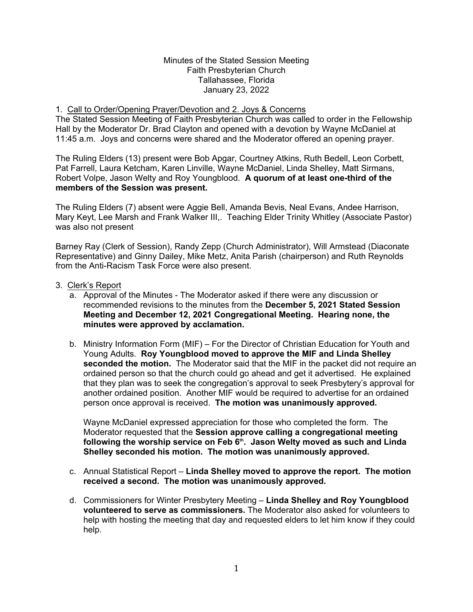#### Minutes of the Stated Session Meeting Faith Presbyterian Church Tallahassee, Florida January 23, 2022

## 1. Call to Order/Opening Prayer/Devotion and 2. Joys & Concerns

The Stated Session Meeting of Faith Presbyterian Church was called to order in the Fellowship Hall by the Moderator Dr. Brad Clayton and opened with a devotion by Wayne McDaniel at 11:45 a.m. Joys and concerns were shared and the Moderator offered an opening prayer.

The Ruling Elders (13) present were Bob Apgar, Courtney Atkins, Ruth Bedell, Leon Corbett, Pat Farrell, Laura Ketcham, Karen Linville, Wayne McDaniel, Linda Shelley, Matt Sirmans, Robert Volpe, Jason Welty and Roy Youngblood. **A quorum of at least one-third of the members of the Session was present.**

The Ruling Elders (7) absent were Aggie Bell, Amanda Bevis, Neal Evans, Andee Harrison, Mary Keyt, Lee Marsh and Frank Walker III,. Teaching Elder Trinity Whitley (Associate Pastor) was also not present

Barney Ray (Clerk of Session), Randy Zepp (Church Administrator), Will Armstead (Diaconate Representative) and Ginny Dailey, Mike Metz, Anita Parish (chairperson) and Ruth Reynolds from the Anti-Racism Task Force were also present.

- 3. Clerk's Report
	- a. Approval of the Minutes The Moderator asked if there were any discussion or recommended revisions to the minutes from the **December 5, 2021 Stated Session Meeting and December 12, 2021 Congregational Meeting. Hearing none, the minutes were approved by acclamation.**
	- b. Ministry Information Form (MIF) For the Director of Christian Education for Youth and Young Adults. **Roy Youngblood moved to approve the MIF and Linda Shelley seconded the motion.** The Moderator said that the MIF in the packet did not require an ordained person so that the church could go ahead and get it advertised. He explained that they plan was to seek the congregation's approval to seek Presbytery's approval for another ordained position. Another MIF would be required to advertise for an ordained person once approval is received. **The motion was unanimously approved.**

Wayne McDaniel expressed appreciation for those who completed the form. The Moderator requested that the **Session approve calling a congregational meeting following the worship service on Feb 6th. Jason Welty moved as such and Linda Shelley seconded his motion. The motion was unanimously approved.**

- c. Annual Statistical Report **Linda Shelley moved to approve the report. The motion received a second. The motion was unanimously approved.**
- d. Commissioners for Winter Presbytery Meeting **Linda Shelley and Roy Youngblood volunteered to serve as commissioners.** The Moderator also asked for volunteers to help with hosting the meeting that day and requested elders to let him know if they could help.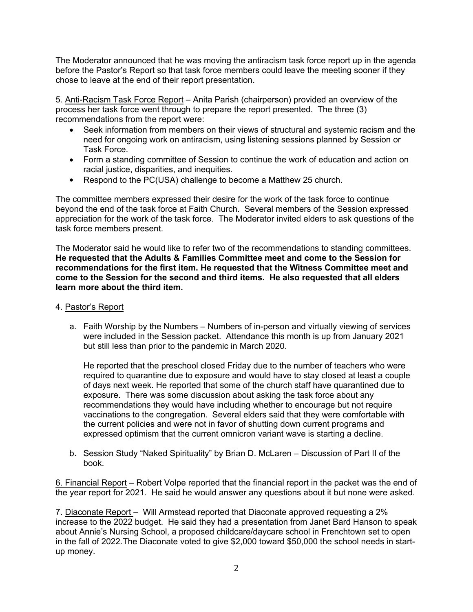The Moderator announced that he was moving the antiracism task force report up in the agenda before the Pastor's Report so that task force members could leave the meeting sooner if they chose to leave at the end of their report presentation.

5. Anti-Racism Task Force Report – Anita Parish (chairperson) provided an overview of the process her task force went through to prepare the report presented. The three (3) recommendations from the report were:

- Seek information from members on their views of structural and systemic racism and the need for ongoing work on antiracism, using listening sessions planned by Session or Task Force.
- Form a standing committee of Session to continue the work of education and action on racial justice, disparities, and inequities.
- Respond to the PC(USA) challenge to become a Matthew 25 church.

The committee members expressed their desire for the work of the task force to continue beyond the end of the task force at Faith Church. Several members of the Session expressed appreciation for the work of the task force. The Moderator invited elders to ask questions of the task force members present.

The Moderator said he would like to refer two of the recommendations to standing committees. **He requested that the Adults & Families Committee meet and come to the Session for recommendations for the first item. He requested that the Witness Committee meet and come to the Session for the second and third items. He also requested that all elders learn more about the third item.**

- 4. Pastor's Report
	- a. Faith Worship by the Numbers Numbers of in-person and virtually viewing of services were included in the Session packet. Attendance this month is up from January 2021 but still less than prior to the pandemic in March 2020.

He reported that the preschool closed Friday due to the number of teachers who were required to quarantine due to exposure and would have to stay closed at least a couple of days next week. He reported that some of the church staff have quarantined due to exposure. There was some discussion about asking the task force about any recommendations they would have including whether to encourage but not require vaccinations to the congregation. Several elders said that they were comfortable with the current policies and were not in favor of shutting down current programs and expressed optimism that the current omnicron variant wave is starting a decline.

b. Session Study "Naked Spirituality" by Brian D. McLaren – Discussion of Part II of the book.

6. Financial Report – Robert Volpe reported that the financial report in the packet was the end of the year report for 2021. He said he would answer any questions about it but none were asked.

7. Diaconate Report – Will Armstead reported that Diaconate approved requesting a 2% increase to the 2022 budget. He said they had a presentation from Janet Bard Hanson to speak about Annie's Nursing School, a proposed childcare/daycare school in Frenchtown set to open in the fall of 2022.The Diaconate voted to give \$2,000 toward \$50,000 the school needs in startup money.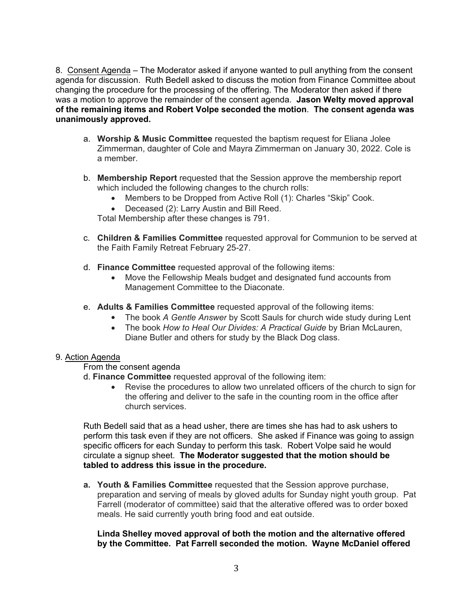8. Consent Agenda – The Moderator asked if anyone wanted to pull anything from the consent agenda for discussion. Ruth Bedell asked to discuss the motion from Finance Committee about changing the procedure for the processing of the offering. The Moderator then asked if there was a motion to approve the remainder of the consent agenda. **Jason Welty moved approval of the remaining items and Robert Volpe seconded the motion**. **The consent agenda was unanimously approved.**

- a. **Worship & Music Committee** requested the baptism request for Eliana Jolee Zimmerman, daughter of Cole and Mayra Zimmerman on January 30, 2022. Cole is a member.
- b. **Membership Report** requested that the Session approve the membership report which included the following changes to the church rolls:
	- Members to be Dropped from Active Roll (1): Charles "Skip" Cook.
	- Deceased (2): Larry Austin and Bill Reed.

Total Membership after these changes is 791.

- c. **Children & Families Committee** requested approval for Communion to be served at the Faith Family Retreat February 25-27.
- d. **Finance Committee** requested approval of the following items:
	- Move the Fellowship Meals budget and designated fund accounts from Management Committee to the Diaconate.
- e. **Adults & Families Committee** requested approval of the following items:
	- The book *A Gentle Answer* by Scott Sauls for church wide study during Lent
	- The book *How to Heal Our Divides: A Practical Guide* by Brian McLauren, Diane Butler and others for study by the Black Dog class.

# 9. Action Agenda

#### From the consent agenda

- d. **Finance Committee** requested approval of the following item:
	- Revise the procedures to allow two unrelated officers of the church to sign for the offering and deliver to the safe in the counting room in the office after church services.

Ruth Bedell said that as a head usher, there are times she has had to ask ushers to perform this task even if they are not officers. She asked if Finance was going to assign specific officers for each Sunday to perform this task. Robert Volpe said he would circulate a signup sheet. **The Moderator suggested that the motion should be tabled to address this issue in the procedure.**

**a. Youth & Families Committee** requested that the Session approve purchase, preparation and serving of meals by gloved adults for Sunday night youth group. Pat Farrell (moderator of committee) said that the alterative offered was to order boxed meals. He said currently youth bring food and eat outside.

## **Linda Shelley moved approval of both the motion and the alternative offered by the Committee. Pat Farrell seconded the motion. Wayne McDaniel offered**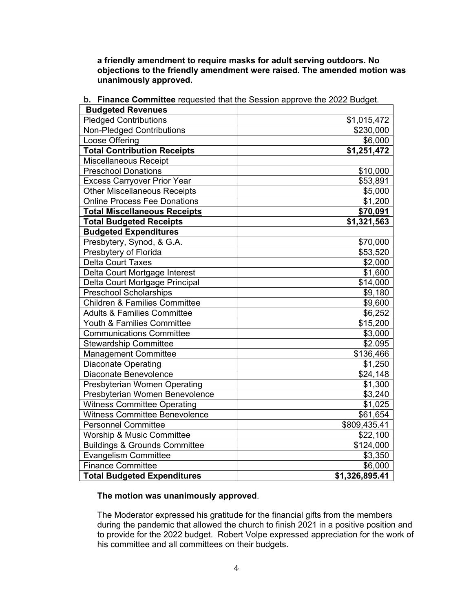**a friendly amendment to require masks for adult serving outdoors. No objections to the friendly amendment were raised. The amended motion was unanimously approved.**

| <b>THRILOG COMMITTEE LOGGOOG THAT THE OCCORD APPLOYS THE ZUZZ DUUGL.</b> |                |
|--------------------------------------------------------------------------|----------------|
| <b>Budgeted Revenues</b>                                                 |                |
| <b>Pledged Contributions</b>                                             | \$1,015,472    |
| <b>Non-Pledged Contributions</b>                                         | \$230,000      |
| Loose Offering                                                           | \$6,000        |
| <b>Total Contribution Receipts</b>                                       | \$1,251,472    |
| Miscellaneous Receipt                                                    |                |
| <b>Preschool Donations</b>                                               | \$10,000       |
| <b>Excess Carryover Prior Year</b>                                       | \$53,891       |
| <b>Other Miscellaneous Receipts</b>                                      | \$5,000        |
| <b>Online Process Fee Donations</b>                                      | \$1,200        |
| <b>Total Miscellaneous Receipts</b>                                      | \$70,091       |
| <b>Total Budgeted Receipts</b>                                           | \$1,321,563    |
| <b>Budgeted Expenditures</b>                                             |                |
| Presbytery, Synod, & G.A.                                                | \$70,000       |
| Presbytery of Florida                                                    | \$53,520       |
| <b>Delta Court Taxes</b>                                                 | \$2,000        |
| Delta Court Mortgage Interest                                            | \$1,600        |
| Delta Court Mortgage Principal                                           | \$14,000       |
| <b>Preschool Scholarships</b>                                            | \$9,180        |
| <b>Children &amp; Families Committee</b>                                 | \$9,600        |
| <b>Adults &amp; Families Committee</b>                                   | \$6,252        |
| Youth & Families Committee                                               | \$15,200       |
| <b>Communications Committee</b>                                          | \$3,000        |
| <b>Stewardship Committee</b>                                             | \$2.095        |
| <b>Management Committee</b>                                              | \$136,466      |
| <b>Diaconate Operating</b>                                               | \$1,250        |
| Diaconate Benevolence                                                    | \$24,148       |
| Presbyterian Women Operating                                             | \$1,300        |
| Presbyterian Women Benevolence                                           | \$3,240        |
| <b>Witness Committee Operating</b>                                       | \$1,025        |
| <b>Witness Committee Benevolence</b>                                     | \$61,654       |
| <b>Personnel Committee</b>                                               | \$809,435.41   |
| <b>Worship &amp; Music Committee</b>                                     | \$22,100       |
| <b>Buildings &amp; Grounds Committee</b>                                 | \$124,000      |
| <b>Evangelism Committee</b>                                              | \$3,350        |
| <b>Finance Committee</b>                                                 | \$6,000        |
| <b>Total Budgeted Expenditures</b>                                       | \$1,326,895.41 |

| <b>b.</b> Finance Committee requested that the Session approve the 2022 Budget. |  |
|---------------------------------------------------------------------------------|--|
|---------------------------------------------------------------------------------|--|

# **The motion was unanimously approved**.

The Moderator expressed his gratitude for the financial gifts from the members during the pandemic that allowed the church to finish 2021 in a positive position and to provide for the 2022 budget. Robert Volpe expressed appreciation for the work of his committee and all committees on their budgets.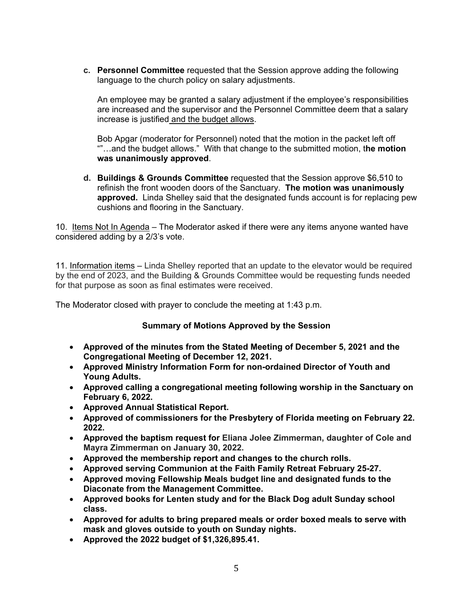**c. Personnel Committee** requested that the Session approve adding the following language to the church policy on salary adjustments.

An employee may be granted a salary adjustment if the employee's responsibilities are increased and the supervisor and the Personnel Committee deem that a salary increase is justified and the budget allows.

Bob Apgar (moderator for Personnel) noted that the motion in the packet left off ""…and the budget allows." With that change to the submitted motion, t**he motion was unanimously approved**.

**d. Buildings & Grounds Committee** requested that the Session approve \$6,510 to refinish the front wooden doors of the Sanctuary. **The motion was unanimously approved.** Linda Shelley said that the designated funds account is for replacing pew cushions and flooring in the Sanctuary.

10. Items Not In Agenda – The Moderator asked if there were any items anyone wanted have considered adding by a 2/3's vote.

11. Information items – Linda Shelley reported that an update to the elevator would be required by the end of 2023, and the Building & Grounds Committee would be requesting funds needed for that purpose as soon as final estimates were received.

The Moderator closed with prayer to conclude the meeting at 1:43 p.m.

# **Summary of Motions Approved by the Session**

- **Approved of the minutes from the Stated Meeting of December 5, 2021 and the Congregational Meeting of December 12, 2021.**
- **Approved Ministry Information Form for non-ordained Director of Youth and Young Adults.**
- **Approved calling a congregational meeting following worship in the Sanctuary on February 6, 2022.**
- **Approved Annual Statistical Report.**
- **Approved of commissioners for the Presbytery of Florida meeting on February 22. 2022.**
- **Approved the baptism request for Eliana Jolee Zimmerman, daughter of Cole and Mayra Zimmerman on January 30, 2022.**
- **Approved the membership report and changes to the church rolls.**
- **Approved serving Communion at the Faith Family Retreat February 25-27.**
- **Approved moving Fellowship Meals budget line and designated funds to the Diaconate from the Management Committee.**
- **Approved books for Lenten study and for the Black Dog adult Sunday school class.**
- **Approved for adults to bring prepared meals or order boxed meals to serve with mask and gloves outside to youth on Sunday nights.**
- **Approved the 2022 budget of \$1,326,895.41.**